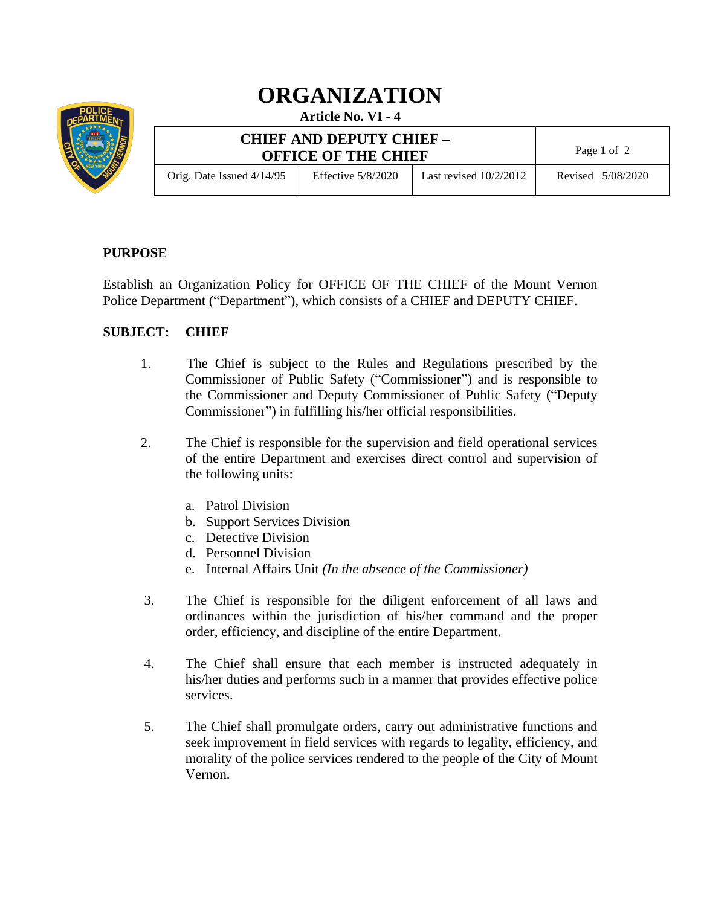

## **ORGANIZATION**

**Article No. VI - 4**

| <b>CHIEF AND DEPUTY CHIEF -</b><br><b>OFFICE OF THE CHIEF</b> |                      |                          | Page 1 of 2       |
|---------------------------------------------------------------|----------------------|--------------------------|-------------------|
| Orig. Date Issued $4/14/95$                                   | Effective $5/8/2020$ | Last revised $10/2/2012$ | Revised 5/08/2020 |

## **PURPOSE**

Establish an Organization Policy for OFFICE OF THE CHIEF of the Mount Vernon Police Department ("Department"), which consists of a CHIEF and DEPUTY CHIEF.

## **SUBJECT: CHIEF**

- 1. The Chief is subject to the Rules and Regulations prescribed by the Commissioner of Public Safety ("Commissioner") and is responsible to the Commissioner and Deputy Commissioner of Public Safety ("Deputy Commissioner") in fulfilling his/her official responsibilities.
- 2. The Chief is responsible for the supervision and field operational services of the entire Department and exercises direct control and supervision of the following units:
	- a. Patrol Division
	- b. Support Services Division
	- c. Detective Division
	- d. Personnel Division
	- e. Internal Affairs Unit *(In the absence of the Commissioner)*
- 3. The Chief is responsible for the diligent enforcement of all laws and ordinances within the jurisdiction of his/her command and the proper order, efficiency, and discipline of the entire Department.
- 4. The Chief shall ensure that each member is instructed adequately in his/her duties and performs such in a manner that provides effective police services.
- 5. The Chief shall promulgate orders, carry out administrative functions and seek improvement in field services with regards to legality, efficiency, and morality of the police services rendered to the people of the City of Mount Vernon.